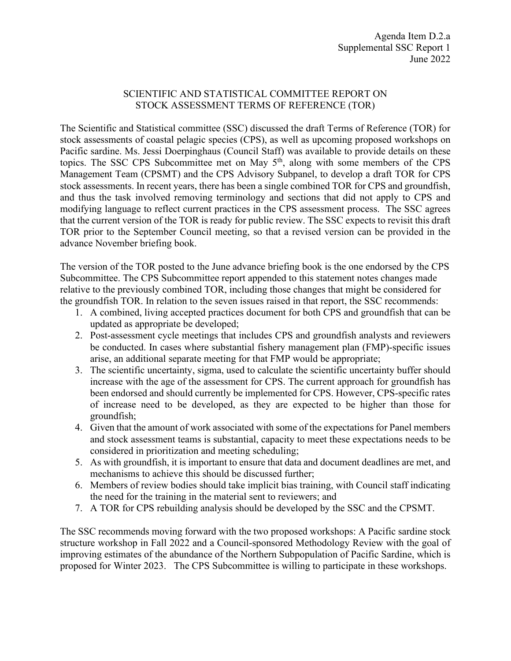#### SCIENTIFIC AND STATISTICAL COMMITTEE REPORT ON STOCK ASSESSMENT TERMS OF REFERENCE (TOR)

The Scientific and Statistical committee (SSC) discussed the draft Terms of Reference (TOR) for stock assessments of coastal pelagic species (CPS), as well as upcoming proposed workshops on Pacific sardine. Ms. Jessi Doerpinghaus (Council Staff) was available to provide details on these topics. The SSC CPS Subcommittee met on May 5<sup>th</sup>, along with some members of the CPS Management Team (CPSMT) and the CPS Advisory Subpanel, to develop a draft TOR for CPS stock assessments. In recent years, there has been a single combined TOR for CPS and groundfish, and thus the task involved removing terminology and sections that did not apply to CPS and modifying language to reflect current practices in the CPS assessment process. The SSC agrees that the current version of the TOR is ready for public review. The SSC expects to revisit this draft TOR prior to the September Council meeting, so that a revised version can be provided in the advance November briefing book.

The version of the TOR posted to the June advance briefing book is the one endorsed by the CPS Subcommittee. The CPS Subcommittee report appended to this statement notes changes made relative to the previously combined TOR, including those changes that might be considered for the groundfish TOR. In relation to the seven issues raised in that report, the SSC recommends:

- 1. A combined, living accepted practices document for both CPS and groundfish that can be updated as appropriate be developed;
- 2. Post-assessment cycle meetings that includes CPS and groundfish analysts and reviewers be conducted. In cases where substantial fishery management plan (FMP)-specific issues arise, an additional separate meeting for that FMP would be appropriate;
- 3. The scientific uncertainty, sigma, used to calculate the scientific uncertainty buffer should increase with the age of the assessment for CPS. The current approach for groundfish has been endorsed and should currently be implemented for CPS. However, CPS-specific rates of increase need to be developed, as they are expected to be higher than those for groundfish;
- 4. Given that the amount of work associated with some of the expectations for Panel members and stock assessment teams is substantial, capacity to meet these expectations needs to be considered in prioritization and meeting scheduling;
- 5. As with groundfish, it is important to ensure that data and document deadlines are met, and mechanisms to achieve this should be discussed further;
- 6. Members of review bodies should take implicit bias training, with Council staff indicating the need for the training in the material sent to reviewers; and
- 7. A TOR for CPS rebuilding analysis should be developed by the SSC and the CPSMT.

The SSC recommends moving forward with the two proposed workshops: A Pacific sardine stock structure workshop in Fall 2022 and a Council-sponsored Methodology Review with the goal of improving estimates of the abundance of the Northern Subpopulation of Pacific Sardine, which is proposed for Winter 2023. The CPS Subcommittee is willing to participate in these workshops.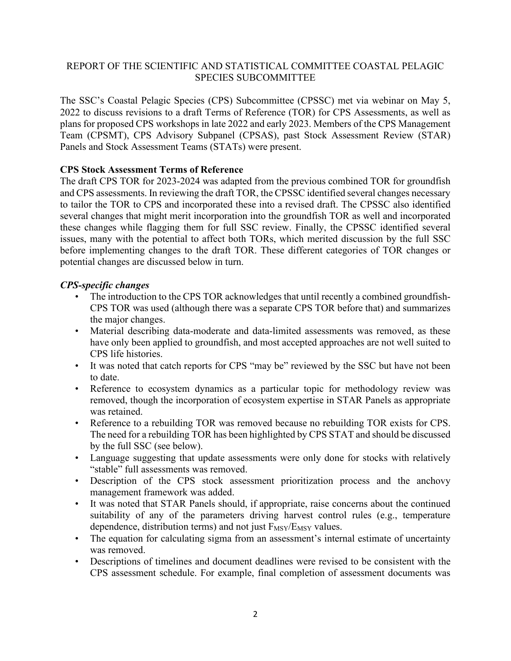# REPORT OF THE SCIENTIFIC AND STATISTICAL COMMITTEE COASTAL PELAGIC SPECIES SUBCOMMITTEE

The SSC's Coastal Pelagic Species (CPS) Subcommittee (CPSSC) met via webinar on May 5, 2022 to discuss revisions to a draft Terms of Reference (TOR) for CPS Assessments, as well as plans for proposed CPS workshops in late 2022 and early 2023. Members of the CPS Management Team (CPSMT), CPS Advisory Subpanel (CPSAS), past Stock Assessment Review (STAR) Panels and Stock Assessment Teams (STATs) were present.

# **CPS Stock Assessment Terms of Reference**

The draft CPS TOR for 2023-2024 was adapted from the previous combined TOR for groundfish and CPS assessments. In reviewing the draft TOR, the CPSSC identified several changes necessary to tailor the TOR to CPS and incorporated these into a revised draft. The CPSSC also identified several changes that might merit incorporation into the groundfish TOR as well and incorporated these changes while flagging them for full SSC review. Finally, the CPSSC identified several issues, many with the potential to affect both TORs, which merited discussion by the full SSC before implementing changes to the draft TOR. These different categories of TOR changes or potential changes are discussed below in turn.

## *CPS-specific changes*

- The introduction to the CPS TOR acknowledges that until recently a combined groundfish-CPS TOR was used (although there was a separate CPS TOR before that) and summarizes the major changes.
- Material describing data-moderate and data-limited assessments was removed, as these have only been applied to groundfish, and most accepted approaches are not well suited to CPS life histories.
- It was noted that catch reports for CPS "may be" reviewed by the SSC but have not been to date.
- Reference to ecosystem dynamics as a particular topic for methodology review was removed, though the incorporation of ecosystem expertise in STAR Panels as appropriate was retained.
- Reference to a rebuilding TOR was removed because no rebuilding TOR exists for CPS. The need for a rebuilding TOR has been highlighted by CPS STAT and should be discussed by the full SSC (see below).
- Language suggesting that update assessments were only done for stocks with relatively "stable" full assessments was removed.
- Description of the CPS stock assessment prioritization process and the anchovy management framework was added.
- It was noted that STAR Panels should, if appropriate, raise concerns about the continued suitability of any of the parameters driving harvest control rules (e.g., temperature dependence, distribution terms) and not just F<sub>MSY</sub>/E<sub>MSY</sub> values.
- The equation for calculating sigma from an assessment's internal estimate of uncertainty was removed.
- Descriptions of timelines and document deadlines were revised to be consistent with the CPS assessment schedule. For example, final completion of assessment documents was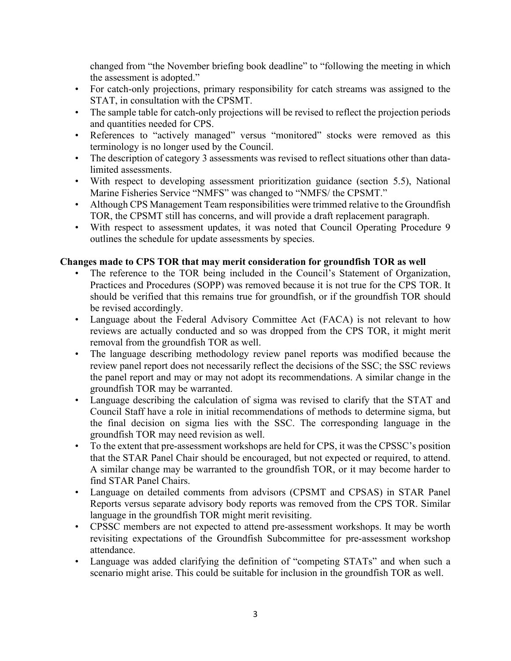changed from "the November briefing book deadline" to "following the meeting in which the assessment is adopted."

- For catch-only projections, primary responsibility for catch streams was assigned to the STAT, in consultation with the CPSMT.
- The sample table for catch-only projections will be revised to reflect the projection periods and quantities needed for CPS.
- References to "actively managed" versus "monitored" stocks were removed as this terminology is no longer used by the Council.
- The description of category 3 assessments was revised to reflect situations other than datalimited assessments.
- With respect to developing assessment prioritization guidance (section 5.5), National Marine Fisheries Service "NMFS" was changed to "NMFS/ the CPSMT."
- Although CPS Management Team responsibilities were trimmed relative to the Groundfish TOR, the CPSMT still has concerns, and will provide a draft replacement paragraph.
- With respect to assessment updates, it was noted that Council Operating Procedure 9 outlines the schedule for update assessments by species.

# **Changes made to CPS TOR that may merit consideration for groundfish TOR as well**

- The reference to the TOR being included in the Council's Statement of Organization, Practices and Procedures (SOPP) was removed because it is not true for the CPS TOR. It should be verified that this remains true for groundfish, or if the groundfish TOR should be revised accordingly.
- Language about the Federal Advisory Committee Act (FACA) is not relevant to how reviews are actually conducted and so was dropped from the CPS TOR, it might merit removal from the groundfish TOR as well.
- The language describing methodology review panel reports was modified because the review panel report does not necessarily reflect the decisions of the SSC; the SSC reviews the panel report and may or may not adopt its recommendations. A similar change in the groundfish TOR may be warranted.
- Language describing the calculation of sigma was revised to clarify that the STAT and Council Staff have a role in initial recommendations of methods to determine sigma, but the final decision on sigma lies with the SSC. The corresponding language in the groundfish TOR may need revision as well.
- To the extent that pre-assessment workshops are held for CPS, it was the CPSSC's position that the STAR Panel Chair should be encouraged, but not expected or required, to attend. A similar change may be warranted to the groundfish TOR, or it may become harder to find STAR Panel Chairs.
- Language on detailed comments from advisors (CPSMT and CPSAS) in STAR Panel Reports versus separate advisory body reports was removed from the CPS TOR. Similar language in the groundfish TOR might merit revisiting.
- CPSSC members are not expected to attend pre-assessment workshops. It may be worth revisiting expectations of the Groundfish Subcommittee for pre-assessment workshop attendance.
- Language was added clarifying the definition of "competing STATs" and when such a scenario might arise. This could be suitable for inclusion in the groundfish TOR as well.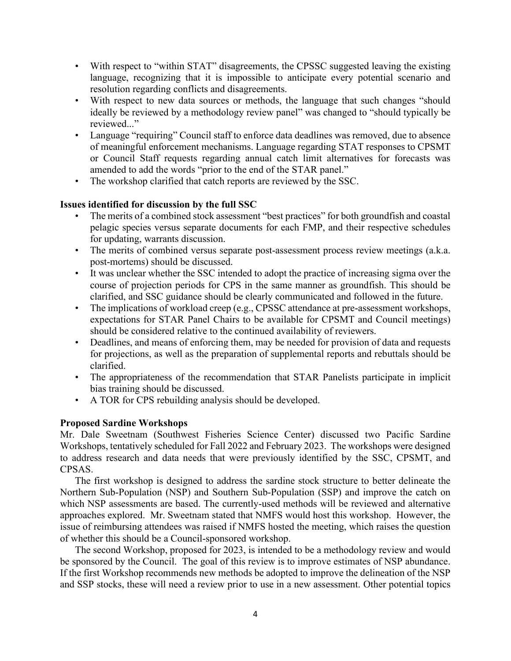- With respect to "within STAT" disagreements, the CPSSC suggested leaving the existing language, recognizing that it is impossible to anticipate every potential scenario and resolution regarding conflicts and disagreements.
- With respect to new data sources or methods, the language that such changes "should ideally be reviewed by a methodology review panel" was changed to "should typically be reviewed..."
- Language "requiring" Council staff to enforce data deadlines was removed, due to absence of meaningful enforcement mechanisms. Language regarding STAT responses to CPSMT or Council Staff requests regarding annual catch limit alternatives for forecasts was amended to add the words "prior to the end of the STAR panel."
- The workshop clarified that catch reports are reviewed by the SSC.

## **Issues identified for discussion by the full SSC**

- The merits of a combined stock assessment "best practices" for both groundfish and coastal pelagic species versus separate documents for each FMP, and their respective schedules for updating, warrants discussion.
- The merits of combined versus separate post-assessment process review meetings (a.k.a. post-mortems) should be discussed.
- It was unclear whether the SSC intended to adopt the practice of increasing sigma over the course of projection periods for CPS in the same manner as groundfish. This should be clarified, and SSC guidance should be clearly communicated and followed in the future.
- The implications of workload creep (e.g., CPSSC attendance at pre-assessment workshops, expectations for STAR Panel Chairs to be available for CPSMT and Council meetings) should be considered relative to the continued availability of reviewers.
- Deadlines, and means of enforcing them, may be needed for provision of data and requests for projections, as well as the preparation of supplemental reports and rebuttals should be clarified.
- The appropriateness of the recommendation that STAR Panelists participate in implicit bias training should be discussed.
- A TOR for CPS rebuilding analysis should be developed.

#### **Proposed Sardine Workshops**

Mr. Dale Sweetnam (Southwest Fisheries Science Center) discussed two Pacific Sardine Workshops, tentatively scheduled for Fall 2022 and February 2023. The workshops were designed to address research and data needs that were previously identified by the SSC, CPSMT, and CPSAS.

The first workshop is designed to address the sardine stock structure to better delineate the Northern Sub-Population (NSP) and Southern Sub-Population (SSP) and improve the catch on which NSP assessments are based. The currently-used methods will be reviewed and alternative approaches explored. Mr. Sweetnam stated that NMFS would host this workshop. However, the issue of reimbursing attendees was raised if NMFS hosted the meeting, which raises the question of whether this should be a Council-sponsored workshop.

The second Workshop, proposed for 2023, is intended to be a methodology review and would be sponsored by the Council. The goal of this review is to improve estimates of NSP abundance. If the first Workshop recommends new methods be adopted to improve the delineation of the NSP and SSP stocks, these will need a review prior to use in a new assessment. Other potential topics